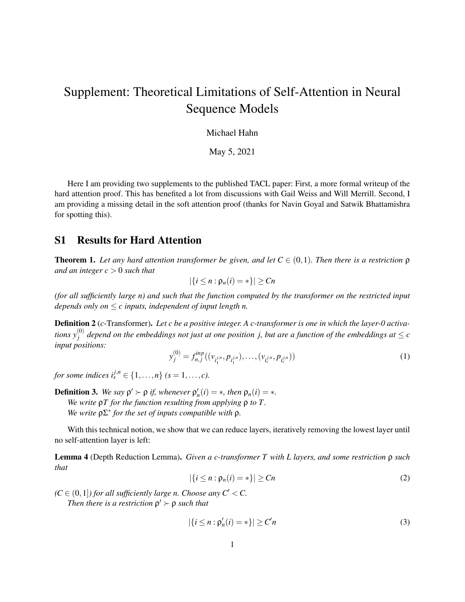# Supplement: Theoretical Limitations of Self-Attention in Neural Sequence Models

Michael Hahn

May 5, 2021

Here I am providing two supplements to the published TACL paper: First, a more formal writeup of the hard attention proof. This has benefited a lot from discussions with Gail Weiss and Will Merrill. Second, I am providing a missing detail in the soft attention proof (thanks for Navin Goyal and Satwik Bhattamishra for spotting this).

#### S1 Results for Hard Attention

<span id="page-0-0"></span>**Theorem 1.** Let any hard attention transformer be given, and let  $C \in (0,1)$ . Then there is a restriction  $\rho$ *and an integer c* > 0 *such that*

$$
|\{i\leq n:\rho_n(i)=*\}| \geq Cn
$$

*(for all sufficiently large n) and such that the function computed by the transformer on the restricted input depends only on* ≤ *c inputs, independent of input length n.*

Definition 2 (*c*-Transformer). *Let c be a positive integer. A c-transformer is one in which the layer-0 activa*tions  $y_j^{(0)}$  depend on the embeddings not just at one position  $j$ , but are a function of the embeddings at  $\leq c$ *input positions:*

$$
y_j^{(0)} = f_{n,j}^{inp}((v_{i_1^{j,n}}, p_{i_1^{j,n}}), \dots, (v_{i_c^{j,n}}, p_{i_c^{j,n}}))
$$
\n(1)

*for some indices i*<sup>*j*,*n*</sup></sup>  $\in \{1, ..., n\}$  *(s* = 1, ..., *c*).

**Definition 3.** We say  $\rho' \succ \rho$  if, whenever  $\rho'_n(i) = *$ , then  $\rho_n(i) = *$ . *We write* ρ*T for the function resulting from applying* ρ *to T . We write* ρΣ∗ *for the set of inputs compatible with* ρ*.*

With this technical notion, we show that we can reduce layers, iteratively removing the lowest layer until no self-attention layer is left:

Lemma 4 (Depth Reduction Lemma). *Given a c-transformer T with L layers, and some restriction* ρ *such that*

$$
|\{i \le n : \rho_n(i) = *\}| \ge Cn \tag{2}
$$

 $(C \in (0,1])$  for all sufficiently large n. Choose any  $C' < C$ .

Then there is a restriction  $\rho' \succ \rho$  such that

$$
|\{i \le n : \rho'_n(i) = *\}| \ge C'n \tag{3}
$$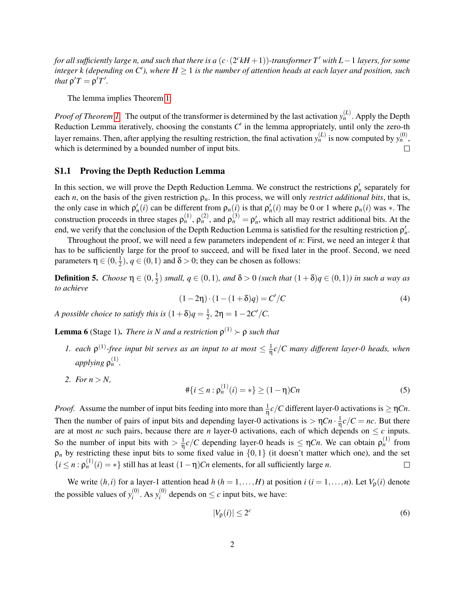*for all sufficiently large n, and such that there is a* (*c*·(2 *c kH* +1))*-transformer T*<sup>0</sup> *with L*−1 *layers, for some*  $\iint$ *integer k (depending on C'), where*  $H \geq 1$  *is the number of attention heads at each layer and position, such that*  $\rho' T = \rho' T'$ .

The lemma implies Theorem [1:](#page-0-0)

*Proof of Theorem 1*. The output of the transformer is determined by the last activation  $y_n^{(L)}$ . Apply the Depth Reduction Lemma iteratively, choosing the constants  $C'$  in the lemma appropriately, until only the zero-th layer remains. Then, after applying the resulting restriction, the final activation  $y_n^{(L)}$  is now computed by  $y_n^{(0)}$ , which is determined by a bounded number of input bits.  $\Box$ 

#### S1.1 Proving the Depth Reduction Lemma

In this section, we will prove the Depth Reduction Lemma. We construct the restrictions  $\rho'_n$  separately for each *n*, on the basis of the given restriction  $\rho_n$ . In this process, we will only *restrict additional bits*, that is, the only case in which  $\rho'_n(i)$  can be different from  $\rho_n(i)$  is that  $\rho'_n(i)$  may be 0 or 1 where  $\rho_n(i)$  was  $*$ . The construction proceeds in three stages  $\rho_n^{(1)}$ ,  $\rho_n^{(2)}$ , and  $\rho_n^{(3)} = \rho_n'$ , which all may restrict additional bits. At the end, we verify that the conclusion of the Depth Reduction Lemma is satisfied for the resulting restriction  $\rho'_n$ .

Throughout the proof, we will need a few parameters independent of *n*: First, we need an integer *k* that has to be sufficiently large for the proof to succeed, and will be fixed later in the proof. Second, we need parameters  $η ∈ (0, \frac{1}{2})$  $\frac{1}{2}$ ,  $q \in (0,1)$  and  $\delta > 0$ ; they can be chosen as follows:

<span id="page-1-1"></span>**Definition 5.** *Choose*  $η ∈ (0, \frac{1}{2})$  $\frac{1}{2}$ ) *small,*  $q \in (0,1)$ *, and*  $\delta > 0$  *(such that*  $(1+\delta)q \in (0,1)$ *) in such a way as to achieve*

$$
(1 - 2\eta) \cdot (1 - (1 + \delta)q) = C'/C
$$
\n(4)

*A possible choice to satisfy this is*  $(1+\delta)q = \frac{1}{2}$  $\frac{1}{2}$ ,  $2\eta = 1 - 2C'/C$ .

<span id="page-1-0"></span>**Lemma 6** (Stage 1). *There is N and a restriction*  $\rho^{(1)} > \rho$  *such that* 

- *1.* each  $\rho^{(1)}$ -free input bit serves as an input to at most  $\leq \frac{1}{\eta}c/C$  many different layer-0 heads, when *applying*  $ρ<sub>n</sub><sup>(1)</sup>$ *.*
- 2. *For*  $n > N$ ,  $#{i ≤ n : ρ<sub>n</sub><sup>(1)</sup>(i) = * } ≥ (1 - η)Cn$  (5)

*Proof.* Assume the number of input bits feeding into more than  $\frac{1}{\eta}c/C$  different layer-0 activations is  $\geq \eta Cn$ . Then the number of pairs of input bits and depending layer-0 activations is  $>\eta C n \cdot \frac{1}{\eta} c/C = nc$ . But there are at most *nc* such pairs, because there are *n* layer-0 activations, each of which depends on  $\leq c$  inputs. So the number of input bits with  $> \frac{1}{\eta} c/C$  depending layer-0 heads is  $\leq \eta Cn$ . We can obtain  $\rho_n^{(1)}$  from  $\rho_n$  by restricting these input bits to some fixed value in  $\{0,1\}$  (it doesn't matter which one), and the set  $\{i \leq n : \rho_n^{(1)}(i) = *\}$  still has at least  $(1 - \eta)Cn$  elements, for all sufficiently large *n*.  $\Box$ 

We write  $(h, i)$  for a layer-1 attention head  $h (h = 1, \ldots, H)$  at position  $i (i = 1, \ldots, n)$ . Let  $V_0(i)$  denote the possible values of  $y_i^{(0)}$ *i* . As *y* (0)  $i^{(0)}$  depends on  $\leq c$  input bits, we have:

$$
|V_{\mathsf{p}}(i)| \le 2^c \tag{6}
$$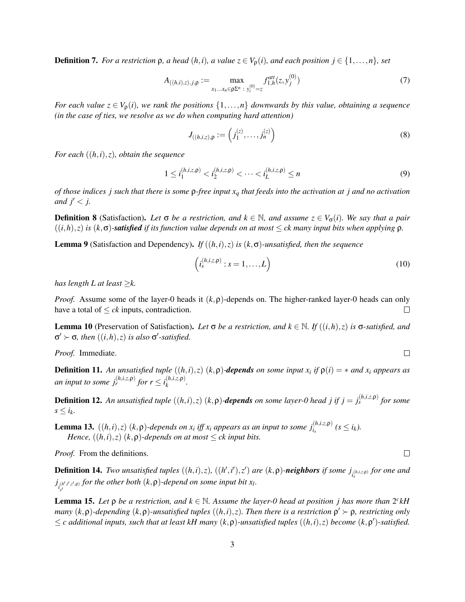**Definition 7.** *For a restriction*  $ρ$ *, a head*  $(h, i)$ *, a value*  $z ∈ V<sub>ρ</sub>(i)$ *, and each position*  $j ∈ {1, ..., n}$ *, set* 

$$
A_{((h,i),z),j,\rho} := \max_{x_1...x_n \in \rho \Sigma^n : y_i^{(0)} = z} f_{1,h}^{att}(z, y_j^{(0)})
$$
(7)

*For each value*  $z \in V_0(i)$ *, we rank the positions*  $\{1, \ldots, n\}$  *downwards by this value, obtaining a sequence (in the case of ties, we resolve as we do when computing hard attention)*

$$
J_{((h,i,z),\rho)} := \left(j_1^{(z)}, \ldots, j_n^{(z)}\right)
$$
 (8)

*For each* ((*h*,*i*),*z*)*, obtain the sequence*

$$
1 \le i_1^{(h,i,z,\mathsf{p})} < i_2^{(h,i,z,\mathsf{p})} < \cdots < i_L^{(h,i,z,\mathsf{p})} \le n \tag{9}
$$

*of those indices j such that there is some* ρ*-free input x<sup>q</sup> that feeds into the activation at j and no activation and*  $j' < j$ .

**Definition 8** (Satisfaction). Let  $\sigma$  be a restriction, and  $k \in \mathbb{N}$ , and assume  $z \in V_{\sigma}(i)$ . We say that a pair  $((i,h),z)$  *is*  $(k,\sigma)$ *-satisfied if its function value depends on at most*  $\leq$  *ck many input bits when applying*  $\rho$ *.* 

<span id="page-2-2"></span>**Lemma 9** (Satisfaction and Dependency). *If*  $((h, i), z)$  *is*  $(k, \sigma)$ *-unsatisfied, then the sequence* 

$$
\left(i_s^{(h,i,z,\mathsf{p})}:s=1,\ldots,L\right)
$$
\n(10)

*has length L at least*  $\geq k$ .

*Proof.* Assume some of the layer-0 heads it (*k*,ρ)-depends on. The higher-ranked layer-0 heads can only have a total of  $\leq ck$  inputs, contradiction.  $\Box$ 

<span id="page-2-1"></span>Lemma 10 (Preservation of Satisfaction). *Let* <sup>σ</sup> *be a restriction, and k* <sup>∈</sup> <sup>N</sup>*. If* ((*i*,*h*),*z*) *is* <sup>σ</sup>*-satisfied, and*  $σ' \succ σ$ , then  $((i,h),z)$  *is also*  $σ'$ -satisfied.

*Proof.* Immediate.

**Definition 11.** An unsatisfied tuple  $((h, i), z)$   $(k, \rho)$ -**depends** on some input  $x_i$  if  $\rho(i) = *$  and  $x_i$  appears as *an input to some*  $j_r^{(h,i,z,\rho)}$  *for*  $r \leq i_k^{(h,i,z,\rho)}$ *k .*

**Definition 12.** An unsatisfied tuple  $((h,i),z)$   $(k,\rho)$ -depends on some layer-0 head j if  $j = j_s^{(h,i,z,\rho)}$  for some  $s \leq i_k$ .

<span id="page-2-0"></span>**Lemma 13.**  $((h,i),z)$   $(k,\rho)$ -depends on  $x_i$  iff  $x_i$  appears as an input to some  $j_{i_s}^{(h,i,z,\rho)}$   $(s \leq i_k)$ . *Hence,*  $((h, i), z)$   $(k, \rho)$ *-depends on at most*  $\leq$  *ck input bits.* 

*Proof.* From the definitions.

*s*  $\overline{a}$ 

**Definition 14.** Two unsatisfied tuples  $((h,i),z)$ ,  $((h',i'),z')$  are  $(k,\rho)$ -neighbors if some  $j_{i_s^{(h,i,z,\rho)}}$  for one and  $j_{i,j}^{(h',t',z',p)}$  for the other both  $(k, \rho)$ -depend on some input bit  $x_l$ .

**Lemma 15.** Let  $\rho$  be a restriction, and  $k \in \mathbb{N}$ . Assume the layer-0 head at position j has more than  $2^{c}kH$ *many*  $(k, \rho)$ -depending  $(k, \rho)$ -unsatisfied tuples  $((h, i), z)$ . Then there is a restriction  $\rho' \succ \rho$ , restricting only  $\leq$  c additional inputs, such that at least kH many  $(k, \rho)$ -unsatisfied tuples  $((h, i), z)$  become  $(k, \rho')$ -satisfied.

 $\Box$ 

 $\Box$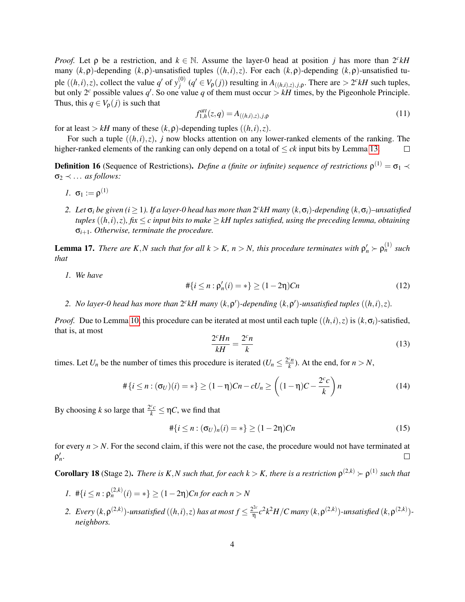*Proof.* Let  $\rho$  be a restriction, and  $k \in \mathbb{N}$ . Assume the layer-0 head at position *j* has more than  $2^{c}kH$ many (*k*,ρ)-depending (*k*,ρ)-unsatisfied tuples ((*h*,*i*),*z*). For each (*k*,ρ)-depending (*k*,ρ)-unsatisfied tuple  $((h, i), z)$ , collect the value *q*' of  $y_i^{(0)}$  $f_j^{(0)}$  ( $q' \in V_p(j)$ ) resulting in  $A_{((h,i),z),j,p}$ . There are  $> 2^c kH$  such tuples, but only 2<sup>*c*</sup> possible values  $q'$ . So one value q of them must occur  $> kH$  times, by the Pigeonhole Principle. Thus, this  $q \in V_{\rho}(j)$  is such that

$$
f_{1,h}^{att}(z,q) = A_{((h,i),z),j,\rho}
$$
 (11)

for at least  $> kH$  many of these  $(k, \rho)$ -depending tuples  $((h, i), z)$ .

For such a tuple  $((h,i),z)$ , *j* now blocks attention on any lower-ranked elements of the ranking. The higher-ranked elements of the ranking can only depend on a total of  $\leq ck$  input bits by Lemma [13.](#page-2-0)  $\Box$ 

**Definition 16** (Sequence of Restrictions). *Define a (finite or infinite) sequence of restrictions*  $\rho^{(1)} = \sigma_1 \prec$  $\sigma_2 \prec \dots$  *as follows:* 

- *1.*  $\sigma_1 := \rho^{(1)}$
- 2. Let  $\sigma_i$  be given ( $i \ge 1$ ). If a layer-0 head has more than  $2^c kH$  many  $(k, \sigma_i)$ -depending  $(k, \sigma_i)$ –unsatisfied *tuples*  $((h, i), z)$ *, fix*  $\leq c$  *input bits to make*  $\geq k$ *H tuples satisfied, using the preceding lemma, obtaining* σ*i*+1*. Otherwise, terminate the procedure.*

<span id="page-3-0"></span>**Lemma 17.** *There are K,N such that for all*  $k > K$ *,*  $n > N$ *, this procedure terminates with*  $\rho'_n > \rho_n^{(1)}$  *such that*

*1. We have*

$$
\#\{i \le n : \rho'_n(i) = *\} \ge (1 - 2\eta)C_n \tag{12}
$$

2. No layer-0 head has more than  $2^{c}kH$  many  $(k, \rho')$ -depending  $(k, \rho')$ -unsatisfied tuples  $((h, i), z)$ .

*Proof.* Due to Lemma [10,](#page-2-1) this procedure can be iterated at most until each tuple  $((h, i), z)$  is  $(k, \sigma_i)$ -satisfied, that is, at most

$$
\frac{2^c H n}{kH} = \frac{2^c n}{k} \tag{13}
$$

times. Let  $U_n$  be the number of times this procedure is iterated  $(U_n \leq \frac{2^cn}{k})$  $\frac{k_n}{k}$ ). At the end, for  $n > N$ ,

$$
\#\{i \le n : (\sigma_U)(i) = *\} \ge (1 - \eta)Cn - cU_n \ge \left((1 - \eta)C - \frac{2^c c}{k}\right)n\tag{14}
$$

By choosing *k* so large that  $\frac{2^c c}{k} \le \eta C$ , we find that

$$
\#\{i \le n : (\sigma_U)_n(i) = *\} \ge (1 - 2\eta)Cn \tag{15}
$$

for every  $n > N$ . For the second claim, if this were not the case, the procedure would not have terminated at ρ 0 *n* .  $\Box$ 

<span id="page-3-1"></span>**Corollary 18** (Stage 2). *There is K,N such that, for each k > K, there is a restriction*  $\rho^{(2,k)} > \rho^{(1)}$  such that

- *1.*  $\#\{i \leq n : \rho_n^{(2,k)}(i) = *\} \geq (1-2\eta)Cn$  for each  $n > N$
- 2. Every  $(k, \rho^{(2,k)})$ -unsatisfied  $((h,i), z)$  has at most  $f \leq \frac{2^{2c}}{\eta}$ η *c* 2 *k* <sup>2</sup>*H*/*C many* (*k*,ρ (2,*k*) )*-unsatisfied* (*k*,ρ (2,*k*) ) *neighbors.*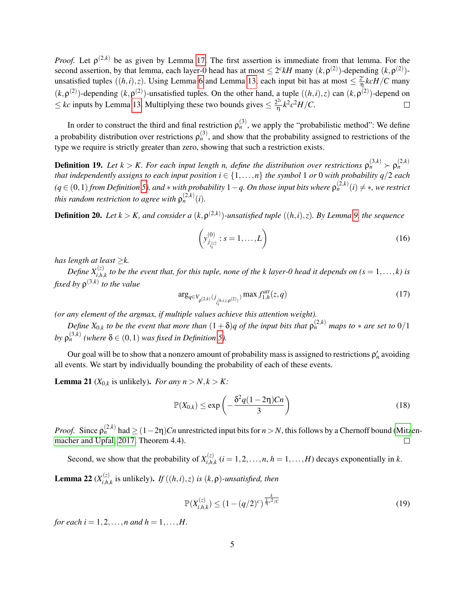*Proof.* Let  $\rho^{(2,k)}$  be as given by Lemma [17.](#page-3-0) The first assertion is immediate from that lemma. For the second assertion, by that lemma, each layer-0 head has at most  $\leq 2^c kH$  many  $(k, \rho^{(2)})$ -depending  $(k, \rho^{(2)})$ unsatisfied tuples  $((h, i), z)$ . Using Lemma [6](#page-1-0) and Lemma [13,](#page-2-0) each input bit has at most  $\leq \frac{2^c}{\eta}$  $\frac{2^{c}}{\eta}$ *kcH*/*C* many  $(k, \rho^{(2)})$ -depending  $(k, \rho^{(2)})$ -unsatisfied tuples. On the other hand, a tuple  $((h, i), z)$  can  $(k, \rho^{(2)})$ -depend on  $≤$  *kc* inputs by Lemma [13.](#page-2-0) Multiplying these two bounds gives  $≤$   $\frac{2^{2c}}{η}$  $\frac{e^{2c}}{\eta}k^2c^2H/C$ .  $\Box$ 

In order to construct the third and final restriction  $\rho_n^{(3)}$ , we apply the "probabilistic method": We define a probability distribution over restrictions  $\rho_n^{(3)}$ , and show that the probability assigned to restrictions of the type we require is strictly greater than zero, showing that such a restriction exists.

**Definition 19.** Let  $k > K$ . For each input length n, define the distribution over restrictions  $\rho_n^{(3,k)} \succ \rho_n^{(2,k)}$ *that independently assigns to each input position*  $i \in \{1, ..., n\}$  *the symbol* 1 *or* 0 *with probability q*/2 *each*  $(q ∈ (0,1)$  *from Definition* [5\)](#page-1-1), and  $*$  with probability 1 − q. On those input bits where  $\rho_n^{(2,k)}(i) \neq *,$  we restrict *this random restriction to agree with*  $\rho_n^{(2,k)}(i)$ .

**Definition 20.** Let  $k > K$ , and consider a  $(k, \rho^{(2,k)})$ -unsatisfied tuple  $((h, i), z)$ . By Lemma [9,](#page-2-2) the sequence

$$
\left(y_{j_{l_s^{(z)}}}^{(0)}:s=1,\ldots,L\right)
$$
\n(16)

*has length at least* ≥*k.*

Define  $X_{i,h,k}^{(z)}$  to be the event that, for this tuple, none of the k layer-0 head it depends on (s =  $1,\ldots,k$ ) is *fixed by* ρ (3,*k*) *to the value*

$$
\arg_{q \in V_{\rho^{(2,k)}}(j_{(j,k,i,z,\rho^{(2)})})} \max f_{1,h}^{att}(z,q) \tag{17}
$$

*(or any element of the argmax, if multiple values achieve this attention weight).*

*Define*  $X_{0,k}$  *to be the event that more than*  $(1+\delta)q$  *of the input bits that*  $\rho_n^{(2,k)}$  *maps to*  $*$  *are set to*  $0/1$ by  $\rho_n^{(3,k)}$  (where  $\delta \in (0,1)$  was fixed in Definition [5\)](#page-1-1).

Our goal will be to show that a nonzero amount of probability mass is assigned to restrictions  $\rho'_n$  avoiding all events. We start by individually bounding the probability of each of these events.

**Lemma 21** ( $X_{0,k}$  is unlikely). *For any*  $n > N, k > K$ *:* 

$$
\mathbb{P}(X_{0,k}) \le \exp\left(-\frac{\delta^2 q (1-2\eta)Cn}{3}\right) \tag{18}
$$

*Proof.* Since  $\rho_n^{(2,k)}$  had  $\geq (1-2\eta)Cn$  unrestricted input bits for  $n > N$ , this follows by a Chernoff bound [\(Mitz](#page-9-0)en[macher and Upfal, 2017,](#page-9-0) Theorem 4.4).

Second, we show that the probability of  $X_{i,h}^{(z)}$  $\sum_{i,h,k}^{(k)}$  (*i* = 1, 2, ..., *n*, *h* = 1, ..., *H*) decays exponentially in *k*.

**Lemma 22**  $(X_{i,h}^{(z)})$  $\int_{i,h,k}^{(z)}$  is unlikely). *If*  $((h,i),z)$  *is*  $(k,\rho)$ *-unsatisfied, then* 

$$
\mathbb{P}(X_{i,h,k}^{(z)}) \le (1 - (q/2)^c)^{\frac{k}{\frac{1}{\eta}c^2/c}} \tag{19}
$$

*for each i* = 1,2, ..., *n* and  $h = 1, ..., H$ .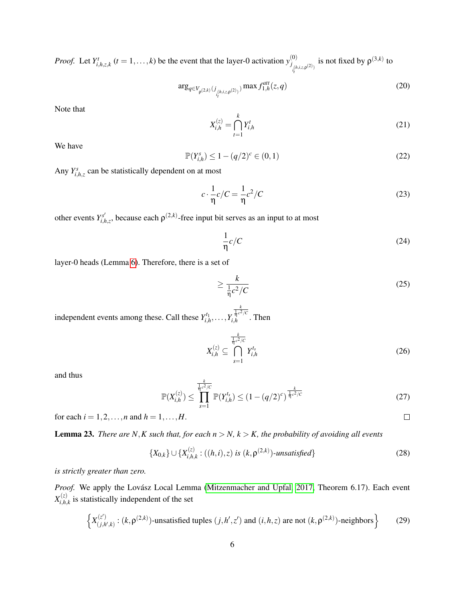*Proof.* Let  $Y_{i,h,z,k}^t$   $(t = 1,...,k)$  be the event that the layer-0 activation  $y_{j,h}^{(0)}$  $\int_{i_l}^{j} (h, i, z, \rho(2))$ is not fixed by  $\rho^{(3,k)}$  to

$$
\arg_{q \in V_{\rho^{(2,k)}}(j_{i}^{(h,i,z,\rho^{(2)})})} \max f_{1,h}^{att}(z,q)
$$
 (20)

Note that

$$
X_{i,h}^{(z)} = \bigcap_{t=1}^{k} Y_{i,h}^t
$$
 (21)

We have

$$
\mathbb{P}(Y_{i,h}^s) \le 1 - (q/2)^c \in (0,1)
$$
\n(22)

Any  $Y_{i,h,z}^s$  can be statistically dependent on at most

$$
c \cdot \frac{1}{\eta} c/C = \frac{1}{\eta} c^2/C \tag{23}
$$

other events  $Y_{i,h,z}^{s'}$ , because each  $\rho^{(2,k)}$ -free input bit serves as an input to at most

$$
\frac{1}{\eta}c/C\tag{24}
$$

layer-0 heads (Lemma [6\)](#page-1-0). Therefore, there is a set of

$$
\geq \frac{k}{\frac{1}{\eta}c^2/C} \tag{25}
$$

independent events among these. Call these  $Y_{i,h}^{t_1}, \ldots, Y_{i}$  $\frac{k}{\frac{1}{2}c^2/c}$  $\int_{i,h}^{\pi^c}$  <sup>r</sup><sup>c</sup>. Then

$$
X_{i,h}^{(z)} \subseteq \bigcap_{s=1}^{\frac{k}{\eta}c^2/c} Y_{i,h}^{t_s}
$$
 (26)

and thus

$$
\mathbb{P}(X_{i,h}^{(z)}) \le \prod_{s=1}^{\frac{k}{\eta_c^2/C}} \mathbb{P}(Y_{i,h}^{t_s}) \le (1 - (q/2)^c)^{\frac{k}{\eta_c^2/C}} \tag{27}
$$

for each  $i = 1, 2, ..., n$  and  $h = 1, ..., H$ .

<span id="page-5-0"></span>**Lemma 23.** *There are N,K such that, for each*  $n > N$ *,*  $k > K$ *, the probability of avoiding all events* 

$$
\{X_{0,k}\}\cup\{X_{i,h,k}^{(z)}:((h,i),z)\,\,\text{is}\,\,(k,\mathsf{p}^{(2,k)})\text{-unsatisfied}\}\tag{28}
$$

*is strictly greater than zero.*

Proof. We apply the Lovász Local Lemma [\(Mitzenmacher and Upfal, 2017,](#page-9-0) Theorem 6.17). Each event  $X_{i\,h}^{(z)}$  $\sum_{i,h,k}^{(z)}$  is statistically independent of the set

$$
\left\{ X_{(j,k',k)}^{(z')} : (k, \rho^{(2,k)})\text{-unsatisfied tuples } (j, h', z') \text{ and } (i, h, z) \text{ are not } (k, \rho^{(2,k)})\text{-neighbors} \right\}
$$
 (29)

 $\Box$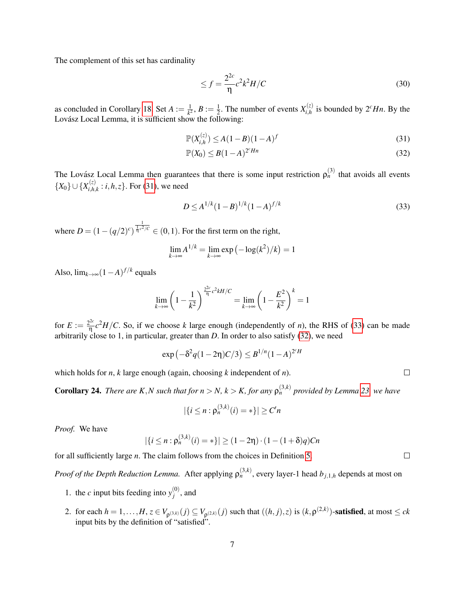The complement of this set has cardinality

<span id="page-6-2"></span><span id="page-6-0"></span>
$$
\leq f = \frac{2^{2c}}{\eta} c^2 k^2 H / C \tag{30}
$$

as concluded in Corollary [18.](#page-3-1) Set  $A := \frac{1}{k^2}$  $\frac{1}{k^2}$ ,  $B:=\frac{1}{2}$  $\frac{1}{2}$ . The number of events  $X_{i,h}^{(z)}$  $\int_{i,h}^{(z)}$  is bounded by  $2^c Hn$ . By the Lovász Local Lemma, it is sufficient show the following:

$$
\mathbb{P}(X_{i,h}^{(z)}) \le A(1-B)(1-A)^f \tag{31}
$$

$$
\mathbb{P}(X_0) \le B(1-A)^{2^c H n} \tag{32}
$$

The Lovász Local Lemma then guarantees that there is some input restriction  $\rho_n^{(3)}$  that avoids all events  $\{X_0\} \cup \{X_{i,h}^{(z)}\}$  $i_{i,h,k}^{(2)}$ : *i*,*h*,*z*}. For [\(31\)](#page-6-0), we need

$$
D \le A^{1/k} (1 - B)^{1/k} (1 - A)^{f/k} \tag{33}
$$

where  $D = (1 - (q/2)^c)$  $\frac{1}{\sqrt[n]{c^2/c}} \in (0,1)$ . For the first term on the right,

$$
\lim_{k \to \infty} A^{1/k} = \lim_{k \to \infty} \exp(-\log(k^2)/k) = 1
$$

Also,  $\lim_{k \to \infty} (1 - A)^{f/k}$  equals

$$
\lim_{k \to \infty} \left( 1 - \frac{1}{k^2} \right)^{\frac{2^{2c}}{\eta} c^2 k H / C} = \lim_{k \to \infty} \left( 1 - \frac{E^2}{k^2} \right)^k = 1
$$

for  $E := \frac{2^{2c}}{n}$  $\frac{d^{2c}}{d}c^2H/C$ . So, if we choose *k* large enough (independently of *n*), the RHS of [\(33\)](#page-6-1) can be made arbitrarily close to 1, in particular, greater than *D*. In order to also satisfy [\(32\)](#page-6-2), we need

$$
\exp(-\delta^2 q(1-2\eta)C/3) \leq B^{1/n}(1-A)^{2^cH}
$$

which holds for *n*, *k* large enough (again, choosing *k* independent of *n*).

**Corollary 24.** There are K,N such that for  $n > N$ ,  $k > K$ , for any  $\rho_n^{(3,k)}$  provided by Lemma [23,](#page-5-0) we have

$$
|\{i \le n : \mathsf{p}_n^{(3,k)}(i) = *\}| \ge C'n
$$

*Proof.* We have

$$
|\{i \le n : \rho_n^{(3,k)}(i) = *\}| \ge (1 - 2\eta) \cdot (1 - (1 + \delta)q)Cn
$$

for all sufficiently large *n*. The claim follows from the choices in Definition [5.](#page-1-1)

*Proof of the Depth Reduction Lemma.* After applying  $\rho_n^{(3,k)}$ , every layer-1 head  $b_{j,1,h}$  depends at most on

- 1. the *c* input bits feeding into  $y_i^{(0)}$  $j^{(0)}$ , and
- 2. for each  $h = 1, ..., H$ ,  $z \in V_{\rho^{(3,k)}}(j) \subseteq V_{\rho^{(2,k)}}(j)$  such that  $((h, j), z)$  is  $(k, \rho^{(2,k)})$ -satisfied, at most  $\leq ck$ input bits by the definition of "satisfied".

<span id="page-6-1"></span> $\Box$ 

 $\Box$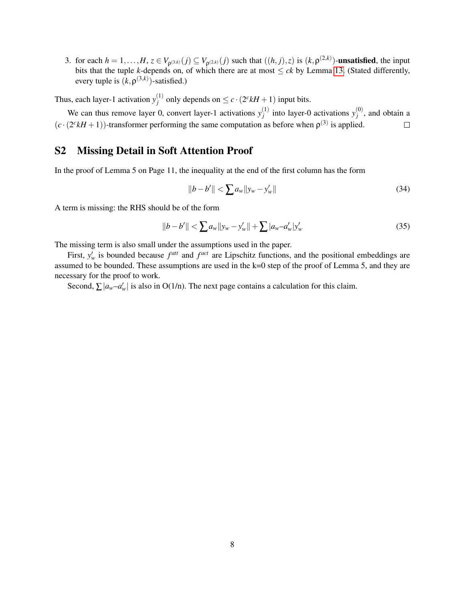3. for each  $h = 1, ..., H$ ,  $z \in V_{\rho^{(3,k)}}(j) \subseteq V_{\rho^{(2,k)}}(j)$  such that  $((h, j), z)$  is  $(k, \rho^{(2,k)})$ -unsatisfied, the input bits that the tuple *k*-depends on, of which there are at most  $\leq ck$  by Lemma [13.](#page-2-0) (Stated differently, every tuple is  $(k, \rho^{(3,k)})$ -satisfied.)

Thus, each layer-1 activation  $y_i^{(1)}$  $f_j^{(1)}$  only depends on  $\leq c \cdot (2^c kH + 1)$  input bits.

We can thus remove layer 0, convert layer-1 activations  $y_i^{(1)}$  $y_j^{(1)}$  into layer-0 activations  $y_j^{(0)}$  $j^{(0)}$ , and obtain a  $(c \cdot (2^{c}kH + 1))$ -transformer performing the same computation as before when  $\rho^{(3)}$  is applied.  $\Box$ 

### S2 Missing Detail in Soft Attention Proof

In the proof of Lemma 5 on Page 11, the inequality at the end of the first column has the form

$$
||b - b'|| < \sum a_w ||y_w - y'_w||
$$
\n(34)

A term is missing: the RHS should be of the form

$$
||b - b'|| < \sum a_w ||y_w - y'_w|| + \sum |a_w - a'_w| y'_w
$$
\n(35)

The missing term is also small under the assumptions used in the paper.

First,  $y'_w$  is bounded because  $f^{att}$  and  $f^{act}$  are Lipschitz functions, and the positional embeddings are assumed to be bounded. These assumptions are used in the k=0 step of the proof of Lemma 5, and they are necessary for the proof to work.

Second,  $\sum |a_w - a'_w|$  is also in O(1/n). The next page contains a calculation for this claim.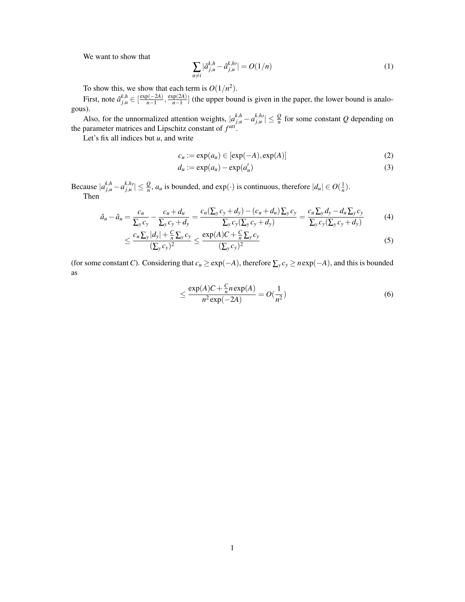We want to show that

$$
\sum_{u \neq i} |\hat{a}_{j,u}^{k,h} - \hat{a}_{j,u}^{k,h}| = O(1/n)
$$
 (1)

To show this, we show that each term is  $O(1/n^2)$ .

First, note  $\hat{a}_{j,u}^{k,h} \in \left[\frac{\exp(-2A)}{n-1}\right]$  $\frac{p(-2A)}{n-1}, \frac{\exp(2A)}{n-1}$  $\frac{p(A)}{n-1}$  (the upper bound is given in the paper, the lower bound is analogous).

Also, for the unnormalized attention weights,  $|a_{j,u}^{k,h} - a_{j,u}^{k,h'}| \leq \frac{Q}{n}$  for some constant *Q* depending on the parameter matrices and Lipschitz constant of  $f^{att}$ .

Let's fix all indices but *u*, and write

$$
c_u := \exp(a_u) \in [\exp(-A), \exp(A)] \tag{2}
$$

$$
d_u := \exp(a_u) - \exp(a'_u) \tag{3}
$$

Because  $|a_{j,u}^{k,h} - a_{j,u}^{k,h}| \leq \frac{Q}{n}$ ,  $a_u$  is bounded, and  $\exp(\cdot)$  is continuous, therefore  $|d_u| \in O(\frac{1}{n})$ . Then

$$
\hat{a}_u - \hat{a}_u = \frac{c_u}{\sum_y c_y} - \frac{c_u + d_u}{\sum_y c_y + d_y} = \frac{c_u(\sum_y c_y + d_y) - (c_u + d_u)\sum_y c_y}{\sum_y c_y(\sum_y c_y + d_y)} = \frac{c_u(\sum_y d_y - d_u(\sum_y c_y))}{\sum_y c_y(\sum_y c_y + d_y)} \tag{4}
$$

$$
\leq \frac{c_u \sum_{y} |d_y| + \frac{C}{n} \sum_{y} c_y}{(\sum_{y} c_y)^2} \leq \frac{\exp(A)C + \frac{C}{n} \sum_{y} c_y}{(\sum_{y} c_y)^2} \tag{5}
$$

(for some constant *C*). Considering that  $c_u \ge \exp(-A)$ , therefore  $\sum_y c_y \ge n \exp(-A)$ , and this is bounded as

$$
\leq \frac{\exp(A)C + \frac{C}{n}n\exp(A)}{n^2\exp(-2A)} = O(\frac{1}{n^2})
$$
\n(6)